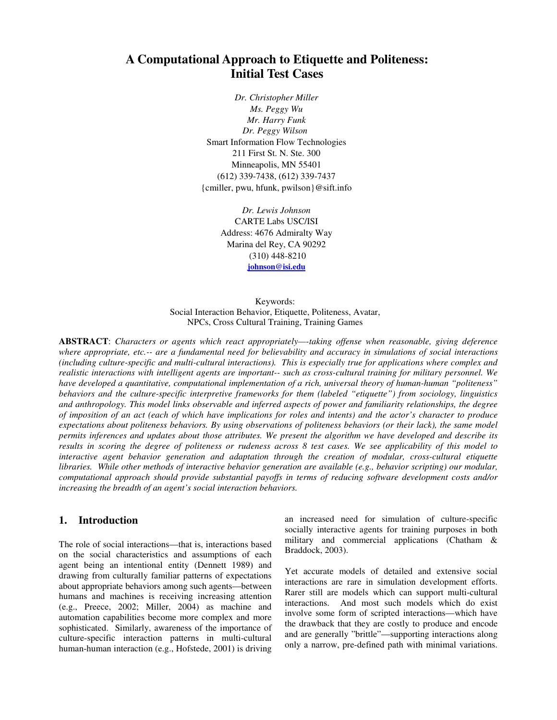# **A Computational Approach to Etiquette and Politeness: Initial Test Cases**

*Dr. Christopher Miller Ms. Peggy Wu Mr. Harry Funk Dr. Peggy Wilson*  Smart Information Flow Technologies 211 First St. N. Ste. 300 Minneapolis, MN 55401 (612) 339-7438, (612) 339-7437 {cmiller, pwu, hfunk, pwilson}@sift.info

> *Dr. Lewis Johnson*  CARTE Labs USC/ISI Address: 4676 Admiralty Way Marina del Rey, CA 90292 (310) 448-8210 **johnson@isi.edu**

Keywords: Social Interaction Behavior, Etiquette, Politeness, Avatar, NPCs, Cross Cultural Training, Training Games

**ABSTRACT**: *Characters or agents which react appropriately—-taking offense when reasonable, giving deference where appropriate, etc.-- are a fundamental need for believability and accuracy in simulations of social interactions (including culture-specific and multi-cultural interactions). This is especially true for applications where complex and realistic interactions with intelligent agents are important-- such as cross-cultural training for military personnel. We have developed a quantitative, computational implementation of a rich, universal theory of human-human "politeness" behaviors and the culture-specific interpretive frameworks for them (labeled "etiquette") from sociology, linguistics and anthropology. This model links observable and inferred aspects of power and familiarity relationships, the degree of imposition of an act (each of which have implications for roles and intents) and the actor's character to produce expectations about politeness behaviors. By using observations of politeness behaviors (or their lack), the same model permits inferences and updates about those attributes. We present the algorithm we have developed and describe its results in scoring the degree of politeness or rudeness across 8 test cases. We see applicability of this model to interactive agent behavior generation and adaptation through the creation of modular, cross-cultural etiquette libraries. While other methods of interactive behavior generation are available (e.g., behavior scripting) our modular, computational approach should provide substantial payoffs in terms of reducing software development costs and/or increasing the breadth of an agent's social interaction behaviors.* 

#### **1. Introduction**

The role of social interactions—that is, interactions based on the social characteristics and assumptions of each agent being an intentional entity (Dennett 1989) and drawing from culturally familiar patterns of expectations about appropriate behaviors among such agents—between humans and machines is receiving increasing attention (e.g., Preece, 2002; Miller, 2004) as machine and automation capabilities become more complex and more sophisticated. Similarly, awareness of the importance of culture-specific interaction patterns in multi-cultural human-human interaction (e.g., Hofstede, 2001) is driving

an increased need for simulation of culture-specific socially interactive agents for training purposes in both military and commercial applications (Chatham & Braddock, 2003).

Yet accurate models of detailed and extensive social interactions are rare in simulation development efforts. Rarer still are models which can support multi-cultural interactions. And most such models which do exist involve some form of scripted interactions—which have the drawback that they are costly to produce and encode and are generally "brittle"—supporting interactions along only a narrow, pre-defined path with minimal variations.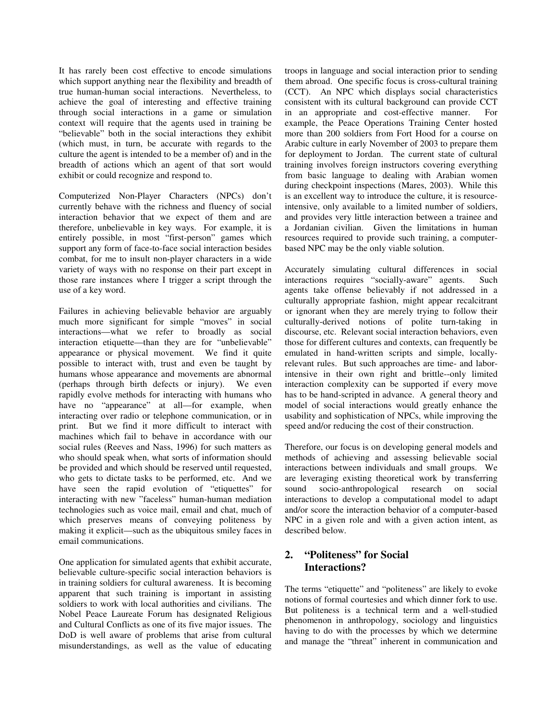It has rarely been cost effective to encode simulations which support anything near the flexibility and breadth of true human-human social interactions. Nevertheless, to achieve the goal of interesting and effective training through social interactions in a game or simulation context will require that the agents used in training be "believable" both in the social interactions they exhibit (which must, in turn, be accurate with regards to the culture the agent is intended to be a member of) and in the breadth of actions which an agent of that sort would exhibit or could recognize and respond to.

Computerized Non-Player Characters (NPCs) don't currently behave with the richness and fluency of social interaction behavior that we expect of them and are therefore, unbelievable in key ways. For example, it is entirely possible, in most "first-person" games which support any form of face-to-face social interaction besides combat, for me to insult non-player characters in a wide variety of ways with no response on their part except in those rare instances where I trigger a script through the use of a key word.

Failures in achieving believable behavior are arguably much more significant for simple "moves" in social interactions—what we refer to broadly as social interaction etiquette—than they are for "unbelievable" appearance or physical movement. We find it quite possible to interact with, trust and even be taught by humans whose appearance and movements are abnormal (perhaps through birth defects or injury). We even rapidly evolve methods for interacting with humans who have no "appearance" at all—for example, when interacting over radio or telephone communication, or in print. But we find it more difficult to interact with machines which fail to behave in accordance with our social rules (Reeves and Nass, 1996) for such matters as who should speak when, what sorts of information should be provided and which should be reserved until requested, who gets to dictate tasks to be performed, etc. And we have seen the rapid evolution of "etiquettes" for interacting with new "faceless" human-human mediation technologies such as voice mail, email and chat, much of which preserves means of conveying politeness by making it explicit—such as the ubiquitous smiley faces in email communications.

One application for simulated agents that exhibit accurate, believable culture-specific social interaction behaviors is in training soldiers for cultural awareness. It is becoming apparent that such training is important in assisting soldiers to work with local authorities and civilians. The Nobel Peace Laureate Forum has designated Religious and Cultural Conflicts as one of its five major issues. The DoD is well aware of problems that arise from cultural misunderstandings, as well as the value of educating troops in language and social interaction prior to sending them abroad. One specific focus is cross-cultural training (CCT). An NPC which displays social characteristics consistent with its cultural background can provide CCT in an appropriate and cost-effective manner. For example, the Peace Operations Training Center hosted more than 200 soldiers from Fort Hood for a course on Arabic culture in early November of 2003 to prepare them for deployment to Jordan. The current state of cultural training involves foreign instructors covering everything from basic language to dealing with Arabian women during checkpoint inspections (Mares, 2003). While this is an excellent way to introduce the culture, it is resourceintensive, only available to a limited number of soldiers, and provides very little interaction between a trainee and a Jordanian civilian. Given the limitations in human resources required to provide such training, a computerbased NPC may be the only viable solution.

Accurately simulating cultural differences in social interactions requires "socially-aware" agents. Such agents take offense believably if not addressed in a culturally appropriate fashion, might appear recalcitrant or ignorant when they are merely trying to follow their culturally-derived notions of polite turn-taking in discourse, etc. Relevant social interaction behaviors, even those for different cultures and contexts, can frequently be emulated in hand-written scripts and simple, locallyrelevant rules. But such approaches are time- and laborintensive in their own right and brittle--only limited interaction complexity can be supported if every move has to be hand-scripted in advance. A general theory and model of social interactions would greatly enhance the usability and sophistication of NPCs, while improving the speed and/or reducing the cost of their construction.

Therefore, our focus is on developing general models and methods of achieving and assessing believable social interactions between individuals and small groups. We are leveraging existing theoretical work by transferring sound socio-anthropological research on social interactions to develop a computational model to adapt and/or score the interaction behavior of a computer-based NPC in a given role and with a given action intent, as described below.

## **2. "Politeness" for Social Interactions?**

The terms "etiquette" and "politeness" are likely to evoke notions of formal courtesies and which dinner fork to use. But politeness is a technical term and a well-studied phenomenon in anthropology, sociology and linguistics having to do with the processes by which we determine and manage the "threat" inherent in communication and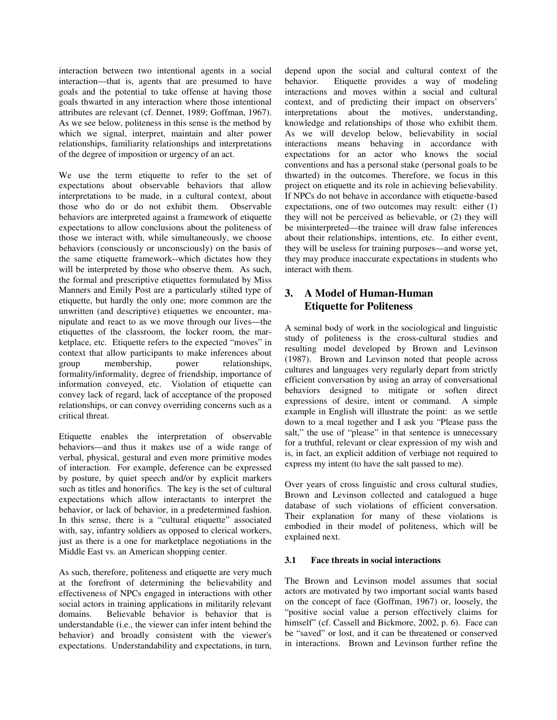interaction between two intentional agents in a social interaction—that is, agents that are presumed to have goals and the potential to take offense at having those goals thwarted in any interaction where those intentional attributes are relevant (cf. Dennet, 1989; Goffman, 1967). As we see below, politeness in this sense is the method by which we signal, interpret, maintain and alter power relationships, familiarity relationships and interpretations of the degree of imposition or urgency of an act.

We use the term etiquette to refer to the set of expectations about observable behaviors that allow interpretations to be made, in a cultural context, about those who do or do not exhibit them. Observable behaviors are interpreted against a framework of etiquette expectations to allow conclusions about the politeness of those we interact with, while simultaneously, we choose behaviors (consciously or unconsciously) on the basis of the same etiquette framework--which dictates how they will be interpreted by those who observe them. As such, the formal and prescriptive etiquettes formulated by Miss Manners and Emily Post are a particularly stilted type of etiquette, but hardly the only one; more common are the unwritten (and descriptive) etiquettes we encounter, manipulate and react to as we move through our lives—the etiquettes of the classroom, the locker room, the marketplace, etc. Etiquette refers to the expected "moves" in context that allow participants to make inferences about group membership, power relationships, formality/informality, degree of friendship, importance of information conveyed, etc. Violation of etiquette can convey lack of regard, lack of acceptance of the proposed relationships, or can convey overriding concerns such as a critical threat.

Etiquette enables the interpretation of observable behaviors—and thus it makes use of a wide range of verbal, physical, gestural and even more primitive modes of interaction. For example, deference can be expressed by posture, by quiet speech and/or by explicit markers such as titles and honorifics. The key is the set of cultural expectations which allow interactants to interpret the behavior, or lack of behavior, in a predetermined fashion. In this sense, there is a "cultural etiquette" associated with, say, infantry soldiers as opposed to clerical workers, just as there is a one for marketplace negotiations in the Middle East vs. an American shopping center.

As such, therefore, politeness and etiquette are very much at the forefront of determining the believability and effectiveness of NPCs engaged in interactions with other social actors in training applications in militarily relevant domains. Believable behavior is behavior that is understandable (i.e., the viewer can infer intent behind the behavior) and broadly consistent with the viewer's expectations. Understandability and expectations, in turn, depend upon the social and cultural context of the behavior. Etiquette provides a way of modeling interactions and moves within a social and cultural context, and of predicting their impact on observers' interpretations about the motives, understanding, knowledge and relationships of those who exhibit them. As we will develop below, believability in social interactions means behaving in accordance with expectations for an actor who knows the social conventions and has a personal stake (personal goals to be thwarted) in the outcomes. Therefore, we focus in this project on etiquette and its role in achieving believability. If NPCs do not behave in accordance with etiquette-based expectations, one of two outcomes may result: either (1) they will not be perceived as believable, or (2) they will be misinterpreted—the trainee will draw false inferences about their relationships, intentions, etc. In either event, they will be useless for training purposes—and worse yet, they may produce inaccurate expectations in students who interact with them.

## **3. A Model of Human-Human Etiquette for Politeness**

A seminal body of work in the sociological and linguistic study of politeness is the cross-cultural studies and resulting model developed by Brown and Levinson (1987). Brown and Levinson noted that people across cultures and languages very regularly depart from strictly efficient conversation by using an array of conversational behaviors designed to mitigate or soften direct expressions of desire, intent or command. A simple example in English will illustrate the point: as we settle down to a meal together and I ask you "Please pass the salt," the use of "please" in that sentence is unnecessary for a truthful, relevant or clear expression of my wish and is, in fact, an explicit addition of verbiage not required to express my intent (to have the salt passed to me).

Over years of cross linguistic and cross cultural studies, Brown and Levinson collected and catalogued a huge database of such violations of efficient conversation. Their explanation for many of these violations is embodied in their model of politeness, which will be explained next.

#### **3.1 Face threats in social interactions**

The Brown and Levinson model assumes that social actors are motivated by two important social wants based on the concept of face (Goffman, 1967) or, loosely, the "positive social value a person effectively claims for himself" (cf. Cassell and Bickmore, 2002, p. 6). Face can be "saved" or lost, and it can be threatened or conserved in interactions. Brown and Levinson further refine the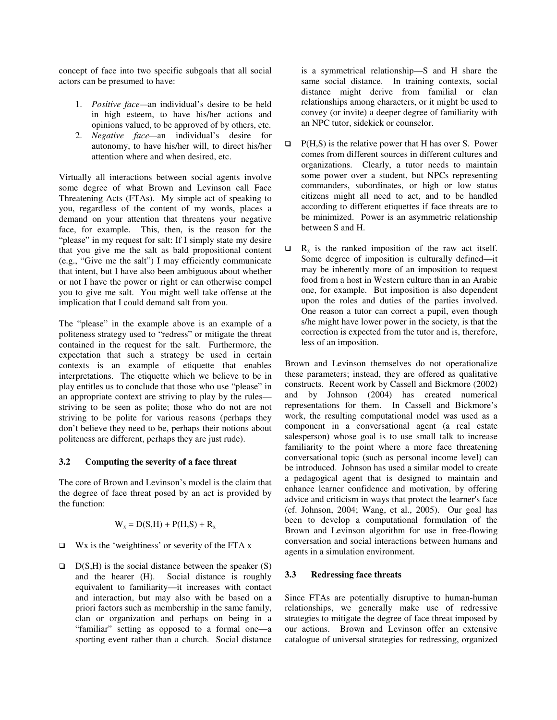concept of face into two specific subgoals that all social actors can be presumed to have:

- 1. *Positive face—*an individual's desire to be held in high esteem, to have his/her actions and opinions valued, to be approved of by others, etc.
- 2. *Negative face—*an individual's desire for autonomy, to have his/her will, to direct his/her attention where and when desired, etc.

Virtually all interactions between social agents involve some degree of what Brown and Levinson call Face Threatening Acts (FTAs). My simple act of speaking to you, regardless of the content of my words, places a demand on your attention that threatens your negative face, for example. This, then, is the reason for the "please" in my request for salt: If I simply state my desire that you give me the salt as bald propositional content (e.g., "Give me the salt") I may efficiently communicate that intent, but I have also been ambiguous about whether or not I have the power or right or can otherwise compel you to give me salt. You might well take offense at the implication that I could demand salt from you.

The "please" in the example above is an example of a politeness strategy used to "redress" or mitigate the threat contained in the request for the salt. Furthermore, the expectation that such a strategy be used in certain contexts is an example of etiquette that enables interpretations. The etiquette which we believe to be in play entitles us to conclude that those who use "please" in an appropriate context are striving to play by the rules striving to be seen as polite; those who do not are not striving to be polite for various reasons (perhaps they don't believe they need to be, perhaps their notions about politeness are different, perhaps they are just rude).

#### **3.2 Computing the severity of a face threat**

The core of Brown and Levinson's model is the claim that the degree of face threat posed by an act is provided by the function:

$$
W_x = D(S,H) + P(H,S) + R_x
$$

- $\Box$  Wx is the 'weightiness' or severity of the FTA x
- $D(S,H)$  is the social distance between the speaker (S) and the hearer (H). Social distance is roughly equivalent to familiarity—it increases with contact and interaction, but may also with be based on a priori factors such as membership in the same family, clan or organization and perhaps on being in a "familiar" setting as opposed to a formal one—a sporting event rather than a church. Social distance

is a symmetrical relationship—S and H share the same social distance. In training contexts, social distance might derive from familial or clan relationships among characters, or it might be used to convey (or invite) a deeper degree of familiarity with an NPC tutor, sidekick or counselor.

- $\Box$  P(H,S) is the relative power that H has over S. Power comes from different sources in different cultures and organizations. Clearly, a tutor needs to maintain some power over a student, but NPCs representing commanders, subordinates, or high or low status citizens might all need to act, and to be handled according to different etiquettes if face threats are to be minimized. Power is an asymmetric relationship between S and H.
- $\Box$  R<sub>x</sub> is the ranked imposition of the raw act itself. Some degree of imposition is culturally defined—it may be inherently more of an imposition to request food from a host in Western culture than in an Arabic one, for example. But imposition is also dependent upon the roles and duties of the parties involved. One reason a tutor can correct a pupil, even though s/he might have lower power in the society, is that the correction is expected from the tutor and is, therefore, less of an imposition.

Brown and Levinson themselves do not operationalize these parameters; instead, they are offered as qualitative constructs. Recent work by Cassell and Bickmore (2002) and by Johnson (2004) has created numerical representations for them. In Cassell and Bickmore's work, the resulting computational model was used as a component in a conversational agent (a real estate salesperson) whose goal is to use small talk to increase familiarity to the point where a more face threatening conversational topic (such as personal income level) can be introduced. Johnson has used a similar model to create a pedagogical agent that is designed to maintain and enhance learner confidence and motivation, by offering advice and criticism in ways that protect the learner's face (cf. Johnson, 2004; Wang, et al., 2005). Our goal has been to develop a computational formulation of the Brown and Levinson algorithm for use in free-flowing conversation and social interactions between humans and agents in a simulation environment.

### **3.3 Redressing face threats**

Since FTAs are potentially disruptive to human-human relationships, we generally make use of redressive strategies to mitigate the degree of face threat imposed by our actions. Brown and Levinson offer an extensive catalogue of universal strategies for redressing, organized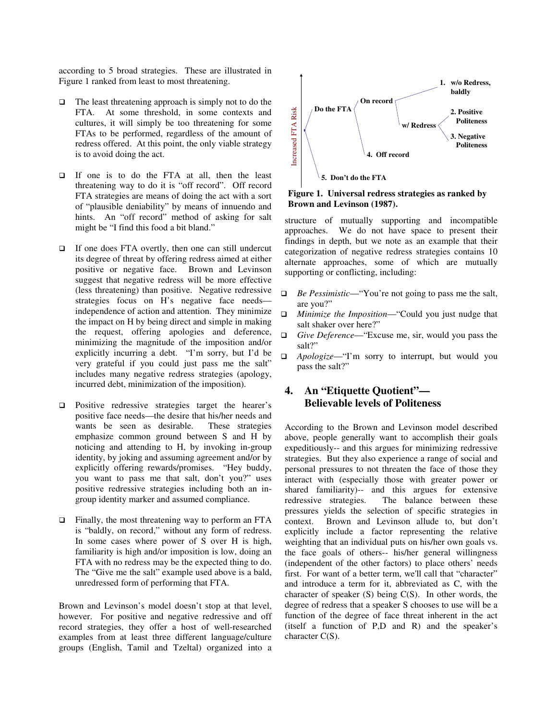according to 5 broad strategies. These are illustrated in Figure 1 ranked from least to most threatening.

- $\Box$  The least threatening approach is simply not to do the FTA. At some threshold, in some contexts and cultures, it will simply be too threatening for some FTAs to be performed, regardless of the amount of redress offered. At this point, the only viable strategy is to avoid doing the act.
- If one is to do the FTA at all, then the least threatening way to do it is "off record". Off record FTA strategies are means of doing the act with a sort of "plausible deniability" by means of innuendo and hints. An "off record" method of asking for salt might be "I find this food a bit bland."
- $\Box$  If one does FTA overtly, then one can still undercut its degree of threat by offering redress aimed at either positive or negative face. Brown and Levinson suggest that negative redress will be more effective (less threatening) than positive. Negative redressive strategies focus on H's negative face needs independence of action and attention. They minimize the impact on H by being direct and simple in making the request, offering apologies and deference, minimizing the magnitude of the imposition and/or explicitly incurring a debt. "I'm sorry, but I'd be very grateful if you could just pass me the salt" includes many negative redress strategies (apology, incurred debt, minimization of the imposition).
- $\Box$  Positive redressive strategies target the hearer's positive face needs—the desire that his/her needs and wants be seen as desirable. These strategies emphasize common ground between S and H by noticing and attending to H, by invoking in-group identity, by joking and assuming agreement and/or by explicitly offering rewards/promises. "Hey buddy, you want to pass me that salt, don't you?" uses positive redressive strategies including both an ingroup identity marker and assumed compliance.
- □ Finally, the most threatening way to perform an FTA is "baldly, on record," without any form of redress. In some cases where power of S over H is high, familiarity is high and/or imposition is low, doing an FTA with no redress may be the expected thing to do. The "Give me the salt" example used above is a bald, unredressed form of performing that FTA.

Brown and Levinson's model doesn't stop at that level, however. For positive and negative redressive and off record strategies, they offer a host of well-researched examples from at least three different language/culture groups (English, Tamil and Tzeltal) organized into a



**Figure 1. Universal redress strategies as ranked by Brown and Levinson (1987).** 

structure of mutually supporting and incompatible approaches. We do not have space to present their findings in depth, but we note as an example that their categorization of negative redress strategies contains 10 alternate approaches, some of which are mutually supporting or conflicting, including:

- *Be Pessimistic*—"You're not going to pass me the salt, are you?"
- *Minimize the Imposition*—"Could you just nudge that salt shaker over here?"
- *Give Deference*—"Excuse me, sir, would you pass the salt?"
- *Apologize*—"I'm sorry to interrupt, but would you pass the salt?"

## **4. An "Etiquette Quotient"— Believable levels of Politeness**

According to the Brown and Levinson model described above, people generally want to accomplish their goals expeditiously-- and this argues for minimizing redressive strategies. But they also experience a range of social and personal pressures to not threaten the face of those they interact with (especially those with greater power or shared familiarity)-- and this argues for extensive redressive strategies. The balance between these The balance between these pressures yields the selection of specific strategies in context. Brown and Levinson allude to, but don't explicitly include a factor representing the relative weighting that an individual puts on his/her own goals vs. the face goals of others-- his/her general willingness (independent of the other factors) to place others' needs first. For want of a better term, we'll call that "character" and introduce a term for it, abbreviated as C, with the character of speaker (S) being C(S). In other words, the degree of redress that a speaker S chooses to use will be a function of the degree of face threat inherent in the act (itself a function of P,D and R) and the speaker's character C(S).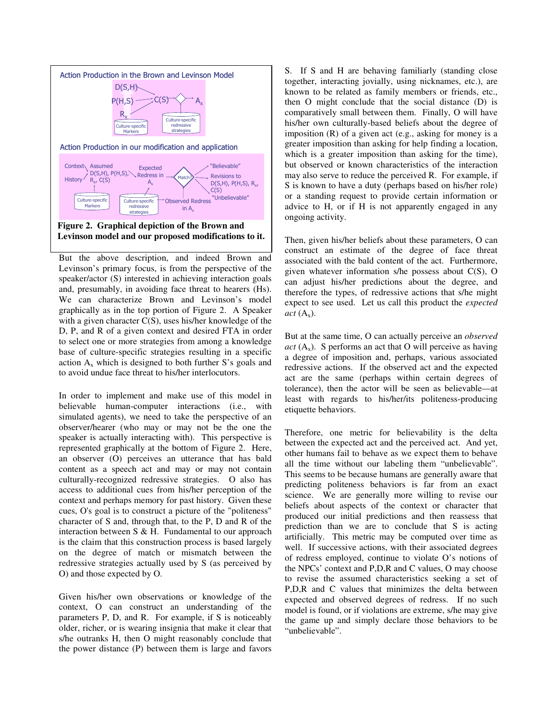

But the above description, and indeed Brown and Levinson's primary focus, is from the perspective of the speaker/actor (S) interested in achieving interaction goals and, presumably, in avoiding face threat to hearers (Hs). We can characterize Brown and Levinson's model graphically as in the top portion of Figure 2. A Speaker with a given character C(S), uses his/her knowledge of the D, P, and R of a given context and desired FTA in order to select one or more strategies from among a knowledge base of culture-specific strategies resulting in a specific action  $A_x$  which is designed to both further S's goals and to avoid undue face threat to his/her interlocutors.

In order to implement and make use of this model in believable human-computer interactions (i.e., with simulated agents), we need to take the perspective of an observer/hearer (who may or may not be the one the speaker is actually interacting with). This perspective is represented graphically at the bottom of Figure 2. Here, an observer (O) perceives an utterance that has bald content as a speech act and may or may not contain culturally-recognized redressive strategies. O also has access to additional cues from his/her perception of the context and perhaps memory for past history. Given these cues, O's goal is to construct a picture of the "politeness" character of S and, through that, to the P, D and R of the interaction between  $S \& H$ . Fundamental to our approach is the claim that this construction process is based largely on the degree of match or mismatch between the redressive strategies actually used by S (as perceived by O) and those expected by O.

Given his/her own observations or knowledge of the context, O can construct an understanding of the parameters P, D, and R. For example, if S is noticeably older, richer, or is wearing insignia that make it clear that s/he outranks H, then O might reasonably conclude that the power distance (P) between them is large and favors S. If S and H are behaving familiarly (standing close together, interacting jovially, using nicknames, etc.), are known to be related as family members or friends, etc., then O might conclude that the social distance (D) is comparatively small between them. Finally, O will have his/her own culturally-based beliefs about the degree of imposition (R) of a given act (e.g., asking for money is a greater imposition than asking for help finding a location, which is a greater imposition than asking for the time), but observed or known characteristics of the interaction may also serve to reduce the perceived R. For example, if S is known to have a duty (perhaps based on his/her role) or a standing request to provide certain information or advice to H, or if H is not apparently engaged in any ongoing activity.

Then, given his/her beliefs about these parameters, O can construct an estimate of the degree of face threat associated with the bald content of the act. Furthermore, given whatever information s/he possess about C(S), O can adjust his/her predictions about the degree, and therefore the types, of redressive actions that s/he might expect to see used. Let us call this product the *expected*   $act(A_x)$ .

But at the same time, O can actually perceive an *observed*   $act(A<sub>x</sub>)$ . S performs an act that O will perceive as having a degree of imposition and, perhaps, various associated redressive actions. If the observed act and the expected act are the same (perhaps within certain degrees of tolerance), then the actor will be seen as believable—at least with regards to his/her/its politeness-producing etiquette behaviors.

Therefore, one metric for believability is the delta between the expected act and the perceived act. And yet, other humans fail to behave as we expect them to behave all the time without our labeling them "unbelievable". This seems to be because humans are generally aware that predicting politeness behaviors is far from an exact science. We are generally more willing to revise our beliefs about aspects of the context or character that produced our initial predictions and then reassess that prediction than we are to conclude that S is acting artificially. This metric may be computed over time as well. If successive actions, with their associated degrees of redress employed, continue to violate O's notions of the NPCs' context and P,D,R and C values, O may choose to revise the assumed characteristics seeking a set of P,D,R and C values that minimizes the delta between expected and observed degrees of redress. If no such model is found, or if violations are extreme, s/he may give the game up and simply declare those behaviors to be "unbelievable".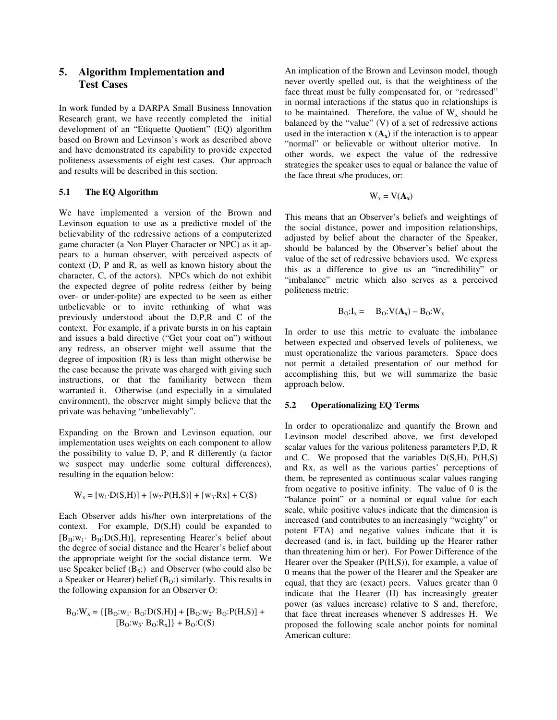### **5. Algorithm Implementation and Test Cases**

In work funded by a DARPA Small Business Innovation Research grant, we have recently completed the initial development of an "Etiquette Quotient" (EQ) algorithm based on Brown and Levinson's work as described above and have demonstrated its capability to provide expected politeness assessments of eight test cases. Our approach and results will be described in this section.

#### **5.1 The EQ Algorithm**

We have implemented a version of the Brown and Levinson equation to use as a predictive model of the believability of the redressive actions of a computerized game character (a Non Player Character or NPC) as it appears to a human observer, with perceived aspects of context (D, P and R, as well as known history about the character, C, of the actors). NPCs which do not exhibit the expected degree of polite redress (either by being over- or under-polite) are expected to be seen as either unbelievable or to invite rethinking of what was previously understood about the D,P,R and C of the context. For example, if a private bursts in on his captain and issues a bald directive ("Get your coat on") without any redress, an observer might well assume that the degree of imposition (R) is less than might otherwise be the case because the private was charged with giving such instructions, or that the familiarity between them warranted it. Otherwise (and especially in a simulated environment), the observer might simply believe that the private was behaving "unbelievably".

Expanding on the Brown and Levinson equation, our implementation uses weights on each component to allow the possibility to value D, P, and R differently (a factor we suspect may underlie some cultural differences), resulting in the equation below:

$$
W_x = [w_1 \cdot D(S, H)] + [w_2 \cdot P(H, S)] + [w_3 \cdot Rx] + C(S)
$$

Each Observer adds his/her own interpretations of the context. For example, D(S,H) could be expanded to  $[B_H:w_1 \cdot B_H:D(S,H)]$ , representing Hearer's belief about the degree of social distance and the Hearer's belief about the appropriate weight for the social distance term. We use Speaker belief  $(B_s)$  and Observer (who could also be a Speaker or Hearer) belief  $(B<sub>0</sub>)$ : similarly. This results in the following expansion for an Observer O:

$$
\begin{aligned} \mathbf{B}_\mathrm{O}\text{:} \mathbf{W}_\mathrm{x} = \{ & \left[\mathbf{B}_\mathrm{O}\text{:} \mathbf{w}_\mathrm{1}\text{:}~\mathbf{B}_\mathrm{O}\text{:} \mathbf{D}(\mathrm{S}, \mathrm{H})\right] + \left[\mathbf{B}_\mathrm{O}\text{:} \mathbf{w}_\mathrm{2}\text{:}~\mathbf{B}_\mathrm{O}\text{:} \mathbf{P}(\mathrm{H}, \mathrm{S})\right] + \\ & \left[\mathbf{B}_\mathrm{O}\text{:} \mathbf{w}_\mathrm{3}\text{:}~\mathbf{B}_\mathrm{O}\text{:} \mathbf{R}_\mathrm{x} \right] \} + \mathbf{B}_\mathrm{O}\text{:} \mathbf{C}(\mathrm{S}) \end{aligned}
$$

An implication of the Brown and Levinson model, though never overtly spelled out, is that the weightiness of the face threat must be fully compensated for, or "redressed" in normal interactions if the status quo in relationships is to be maintained. Therefore, the value of  $W_x$  should be balanced by the "value" (V) of a set of redressive actions used in the interaction  $x(A_x)$  if the interaction is to appear "normal" or believable or without ulterior motive. In other words, we expect the value of the redressive strategies the speaker uses to equal or balance the value of the face threat s/he produces, or:

$$
W_x = V(A_x)
$$

This means that an Observer's beliefs and weightings of the social distance, power and imposition relationships, adjusted by belief about the character of the Speaker, should be balanced by the Observer's belief about the value of the set of redressive behaviors used. We express this as a difference to give us an "incredibility" or "imbalance" metric which also serves as a perceived politeness metric:

$$
B_O:I_x = \quad B_O: V(\mathbf{A}_x) - B_O: W_x
$$

In order to use this metric to evaluate the imbalance between expected and observed levels of politeness, we must operationalize the various parameters. Space does not permit a detailed presentation of our method for accomplishing this, but we will summarize the basic approach below.

#### **5.2 Operationalizing EQ Terms**

In order to operationalize and quantify the Brown and Levinson model described above, we first developed scalar values for the various politeness parameters P,D, R and C. We proposed that the variables D(S,H), P(H,S) and Rx, as well as the various parties' perceptions of them, be represented as continuous scalar values ranging from negative to positive infinity. The value of 0 is the "balance point" or a nominal or equal value for each scale, while positive values indicate that the dimension is increased (and contributes to an increasingly "weighty" or potent FTA) and negative values indicate that it is decreased (and is, in fact, building up the Hearer rather than threatening him or her). For Power Difference of the Hearer over the Speaker (P(H,S)), for example, a value of 0 means that the power of the Hearer and the Speaker are equal, that they are (exact) peers. Values greater than 0 indicate that the Hearer (H) has increasingly greater power (as values increase) relative to S and, therefore, that face threat increases whenever S addresses H. We proposed the following scale anchor points for nominal American culture: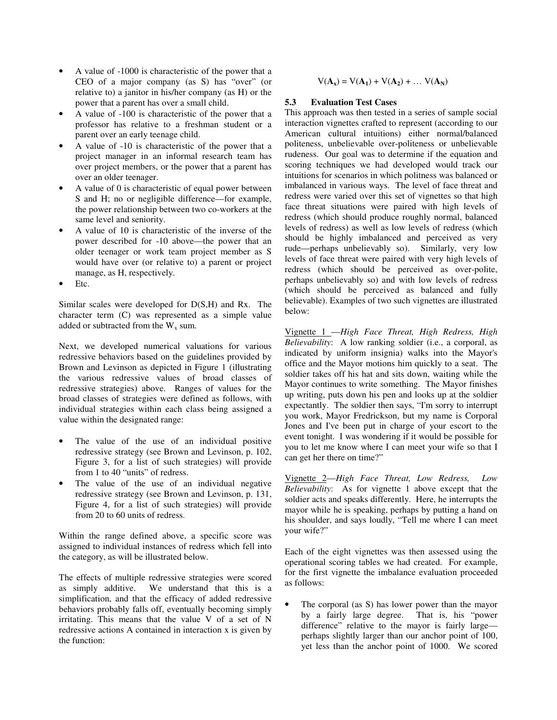- A value of -1000 is characteristic of the power that a CEO of a major company (as S) has "over" (or relative to) a janitor in his/her company (as H) or the power that a parent has over a small child.
- A value of -100 is characteristic of the power that a professor has relative to a freshman student or a parent over an early teenage child.
- A value of -10 is characteristic of the power that a project manager in an informal research team has over project members, or the power that a parent has over an older teenager.
- A value of 0 is characteristic of equal power between S and H; no or negligible difference—for example, the power relationship between two co-workers at the same level and seniority.
- A value of 10 is characteristic of the inverse of the power described for -10 above—the power that an older teenager or work team project member as S would have over (or relative to) a parent or project manage, as H, respectively.
- Etc.

Similar scales were developed for D(S,H) and Rx. The character term (C) was represented as a simple value added or subtracted from the  $W_x$  sum.

Next, we developed numerical valuations for various redressive behaviors based on the guidelines provided by Brown and Levinson as depicted in Figure 1 (illustrating the various redressive values of broad classes of redressive strategies) above. Ranges of values for the broad classes of strategies were defined as follows, with individual strategies within each class being assigned a value within the designated range:

- The value of the use of an individual positive redressive strategy (see Brown and Levinson, p. 102, Figure 3, for a list of such strategies) will provide from 1 to 40 "units" of redress.
- The value of the use of an individual negative redressive strategy (see Brown and Levinson, p. 131, Figure 4, for a list of such strategies) will provide from 20 to 60 units of redress.

Within the range defined above, a specific score was assigned to individual instances of redress which fell into the category, as will be illustrated below.

The effects of multiple redressive strategies were scored as simply additive. We understand that this is a simplification, and that the efficacy of added redressive behaviors probably falls off, eventually becoming simply irritating. This means that the value V of a set of N redressive actions A contained in interaction x is given by the function:

 $V(A_x) = V(A_1) + V(A_2) + ... V(A_N)$ 

#### **5.3 Evaluation Test Cases**

This approach was then tested in a series of sample social interaction vignettes crafted to represent (according to our American cultural intuitions) either normal/balanced politeness, unbelievable over-politeness or unbelievable rudeness. Our goal was to determine if the equation and scoring techniques we had developed would track our intuitions for scenarios in which politness was balanced or imbalanced in various ways. The level of face threat and redress were varied over this set of vignettes so that high face threat situations were paired with high levels of redress (which should produce roughly normal, balanced levels of redress) as well as low levels of redress (which should be highly imbalanced and perceived as very rude—perhaps unbelievably so). Similarly, very low levels of face threat were paired with very high levels of redress (which should be perceived as over-polite, perhaps unbelievably so) and with low levels of redress (which should be perceived as balanced and fully believable). Examples of two such vignettes are illustrated below:

Vignette 1 —*High Face Threat, High Redress, High Believability*: A low ranking soldier (i.e., a corporal, as indicated by uniform insignia) walks into the Mayor's office and the Mayor motions him quickly to a seat. The soldier takes off his hat and sits down, waiting while the Mayor continues to write something. The Mayor finishes up writing, puts down his pen and looks up at the soldier expectantly. The soldier then says, "I'm sorry to interrupt you work, Mayor Fredrickson, but my name is Corporal Jones and I've been put in charge of your escort to the event tonight. I was wondering if it would be possible for you to let me know where I can meet your wife so that I can get her there on time?"

Vignette 2—*High Face Threat, Low Redress, Low Believability*: As for vignette 1 above except that the soldier acts and speaks differently. Here, he interrupts the mayor while he is speaking, perhaps by putting a hand on his shoulder, and says loudly, "Tell me where I can meet your wife?"

Each of the eight vignettes was then assessed using the operational scoring tables we had created. For example, for the first vignette the imbalance evaluation proceeded as follows:

The corporal (as S) has lower power than the mayor<br>by a fairly large degree. That is, his "power by a fairly large degree. difference" relative to the mayor is fairly large perhaps slightly larger than our anchor point of 100, yet less than the anchor point of 1000. We scored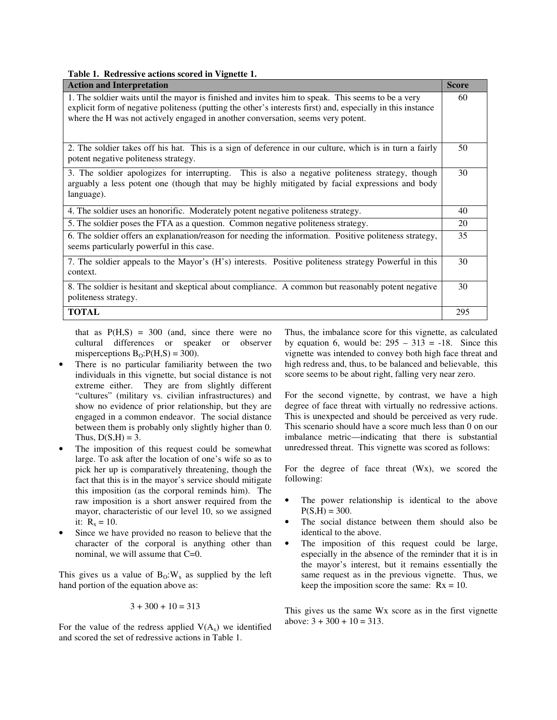**Table 1. Redressive actions scored in Vignette 1.** 

| <b>Action and Interpretation</b>                                                                                                                                                                                                                                                                      | <b>Score</b> |
|-------------------------------------------------------------------------------------------------------------------------------------------------------------------------------------------------------------------------------------------------------------------------------------------------------|--------------|
| 1. The soldier waits until the mayor is finished and invites him to speak. This seems to be a very<br>explicit form of negative politeness (putting the other's interests first) and, especially in this instance<br>where the H was not actively engaged in another conversation, seems very potent. | 60           |
| 2. The soldier takes off his hat. This is a sign of deference in our culture, which is in turn a fairly<br>potent negative politeness strategy.                                                                                                                                                       | 50           |
| 3. The soldier apologizes for interrupting. This is also a negative politeness strategy, though<br>arguably a less potent one (though that may be highly mitigated by facial expressions and body<br>language).                                                                                       | 30           |
| 4. The soldier uses an honorific. Moderately potent negative politeness strategy.                                                                                                                                                                                                                     | 40           |
| 5. The soldier poses the FTA as a question. Common negative politeness strategy.                                                                                                                                                                                                                      | 20           |
| 6. The soldier offers an explanation/reason for needing the information. Positive politeness strategy,<br>seems particularly powerful in this case.                                                                                                                                                   | 35           |
| 7. The soldier appeals to the Mayor's (H's) interests. Positive politeness strategy Powerful in this<br>context.                                                                                                                                                                                      | 30           |
| 8. The soldier is hesitant and skeptical about compliance. A common but reasonably potent negative<br>politeness strategy.                                                                                                                                                                            | 30           |
| <b>TOTAL</b>                                                                                                                                                                                                                                                                                          | 295          |

that as  $P(H,S) = 300$  (and, since there were no cultural differences or speaker or observer misperceptions  $B_0$ :  $P(H, S) = 300$ ).

- There is no particular familiarity between the two individuals in this vignette, but social distance is not extreme either. They are from slightly different "cultures" (military vs. civilian infrastructures) and show no evidence of prior relationship, but they are engaged in a common endeavor. The social distance between them is probably only slightly higher than 0. Thus,  $D(S,H) = 3$ .
- The imposition of this request could be somewhat large. To ask after the location of one's wife so as to pick her up is comparatively threatening, though the fact that this is in the mayor's service should mitigate this imposition (as the corporal reminds him). The raw imposition is a short answer required from the mayor, characteristic of our level 10, so we assigned it:  $R_x = 10$ .
- Since we have provided no reason to believe that the character of the corporal is anything other than nominal, we will assume that C=0.

This gives us a value of  $B_0:W_x$  as supplied by the left hand portion of the equation above as:

$$
3 + 300 + 10 = 313
$$

For the value of the redress applied  $V(A_x)$  we identified and scored the set of redressive actions in Table 1.

Thus, the imbalance score for this vignette, as calculated by equation 6, would be:  $295 - 313 = -18$ . Since this vignette was intended to convey both high face threat and high redress and, thus, to be balanced and believable, this score seems to be about right, falling very near zero.

For the second vignette, by contrast, we have a high degree of face threat with virtually no redressive actions. This is unexpected and should be perceived as very rude. This scenario should have a score much less than 0 on our imbalance metric—indicating that there is substantial unredressed threat. This vignette was scored as follows:

For the degree of face threat (Wx), we scored the following:

- The power relationship is identical to the above  $P(S,H) = 300.$
- The social distance between them should also be identical to the above.
- The imposition of this request could be large, especially in the absence of the reminder that it is in the mayor's interest, but it remains essentially the same request as in the previous vignette. Thus, we keep the imposition score the same:  $Rx = 10$ .

This gives us the same Wx score as in the first vignette above:  $3 + 300 + 10 = 313$ .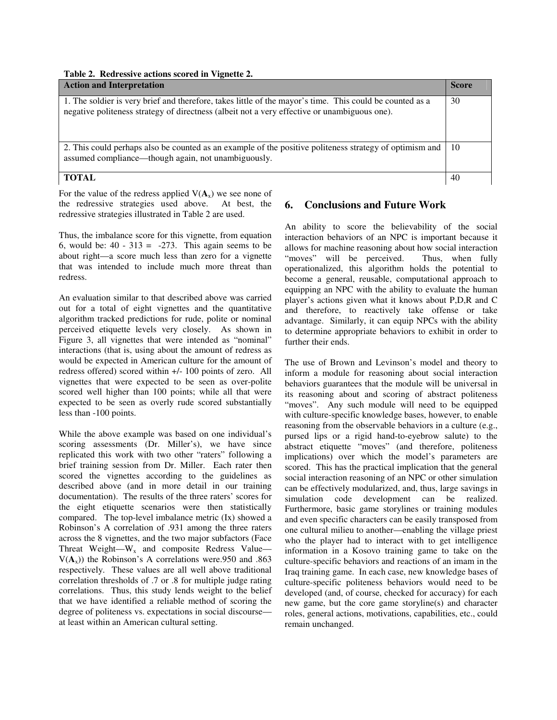# **Table 2. Redressive actions scored in Vignette 2.**

| <b>Action and Interpretation</b>                                                                                                                                                                         | <b>Score</b> |
|----------------------------------------------------------------------------------------------------------------------------------------------------------------------------------------------------------|--------------|
| 1. The soldier is very brief and therefore, takes little of the mayor's time. This could be counted as a<br>negative politeness strategy of directness (albeit not a very effective or unambiguous one). | 30           |
| 2. This could perhaps also be counted as an example of the positive politeness strategy of optimism and<br>assumed compliance—though again, not unambiguously.                                           | 10           |
| <b>TOTAL</b>                                                                                                                                                                                             | 40           |

For the value of the redress applied  $V(A_x)$  we see none of the redressive strategies used above. At best, the redressive strategies illustrated in Table 2 are used.

Thus, the imbalance score for this vignette, from equation 6, would be:  $40 - 313 = -273$ . This again seems to be about right—a score much less than zero for a vignette that was intended to include much more threat than redress.

An evaluation similar to that described above was carried out for a total of eight vignettes and the quantitative algorithm tracked predictions for rude, polite or nominal perceived etiquette levels very closely. As shown in Figure 3, all vignettes that were intended as "nominal" interactions (that is, using about the amount of redress as would be expected in American culture for the amount of redress offered) scored within +/- 100 points of zero. All vignettes that were expected to be seen as over-polite scored well higher than 100 points; while all that were expected to be seen as overly rude scored substantially less than -100 points.

While the above example was based on one individual's scoring assessments (Dr. Miller's), we have since replicated this work with two other "raters" following a brief training session from Dr. Miller. Each rater then scored the vignettes according to the guidelines as described above (and in more detail in our training documentation). The results of the three raters' scores for the eight etiquette scenarios were then statistically compared. The top-level imbalance metric (Ix) showed a Robinson's A correlation of .931 among the three raters across the 8 vignettes, and the two major subfactors (Face Threat Weight—W<sub>x</sub> and composite Redress Value—  $V(A_x)$ ) the Robinson's A correlations were.950 and .863 respectively. These values are all well above traditional correlation thresholds of .7 or .8 for multiple judge rating correlations. Thus, this study lends weight to the belief that we have identified a reliable method of scoring the degree of politeness vs. expectations in social discourse at least within an American cultural setting.

### **6. Conclusions and Future Work**

An ability to score the believability of the social interaction behaviors of an NPC is important because it allows for machine reasoning about how social interaction "moves" will be perceived. Thus, when fully operationalized, this algorithm holds the potential to become a general, reusable, computational approach to equipping an NPC with the ability to evaluate the human player's actions given what it knows about P,D,R and C and therefore, to reactively take offense or take advantage. Similarly, it can equip NPCs with the ability to determine appropriate behaviors to exhibit in order to further their ends.

The use of Brown and Levinson's model and theory to inform a module for reasoning about social interaction behaviors guarantees that the module will be universal in its reasoning about and scoring of abstract politeness "moves". Any such module will need to be equipped with culture-specific knowledge bases, however, to enable reasoning from the observable behaviors in a culture (e.g., pursed lips or a rigid hand-to-eyebrow salute) to the abstract etiquette "moves" (and therefore, politeness implications) over which the model's parameters are scored. This has the practical implication that the general social interaction reasoning of an NPC or other simulation can be effectively modularized, and, thus, large savings in simulation code development can be realized. Furthermore, basic game storylines or training modules and even specific characters can be easily transposed from one cultural milieu to another—enabling the village priest who the player had to interact with to get intelligence information in a Kosovo training game to take on the culture-specific behaviors and reactions of an imam in the Iraq training game. In each case, new knowledge bases of culture-specific politeness behaviors would need to be developed (and, of course, checked for accuracy) for each new game, but the core game storyline(s) and character roles, general actions, motivations, capabilities, etc., could remain unchanged.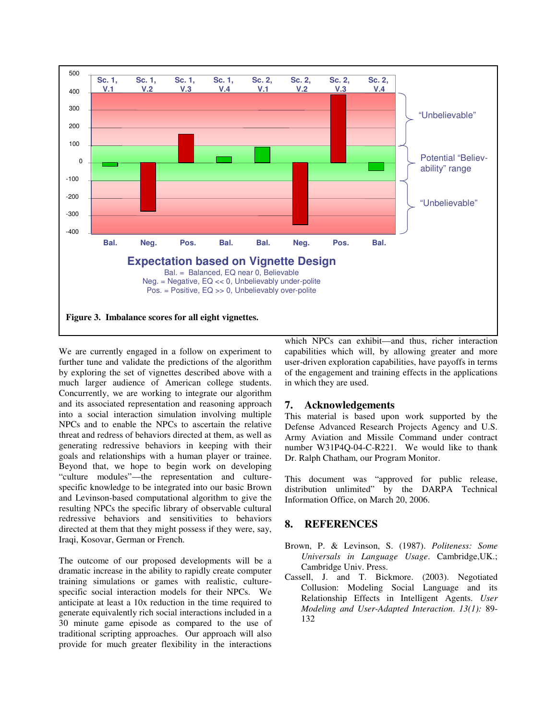

We are currently engaged in a follow on experiment to further tune and validate the predictions of the algorithm by exploring the set of vignettes described above with a much larger audience of American college students. Concurrently, we are working to integrate our algorithm and its associated representation and reasoning approach into a social interaction simulation involving multiple NPCs and to enable the NPCs to ascertain the relative threat and redress of behaviors directed at them, as well as generating redressive behaviors in keeping with their goals and relationships with a human player or trainee. Beyond that, we hope to begin work on developing "culture modules"—the representation and culturespecific knowledge to be integrated into our basic Brown and Levinson-based computational algorithm to give the resulting NPCs the specific library of observable cultural redressive behaviors and sensitivities to behaviors directed at them that they might possess if they were, say, Iraqi, Kosovar, German or French.

The outcome of our proposed developments will be a dramatic increase in the ability to rapidly create computer training simulations or games with realistic, culturespecific social interaction models for their NPCs. We anticipate at least a 10x reduction in the time required to generate equivalently rich social interactions included in a 30 minute game episode as compared to the use of traditional scripting approaches. Our approach will also provide for much greater flexibility in the interactions which NPCs can exhibit—and thus, richer interaction capabilities which will, by allowing greater and more user-driven exploration capabilities, have payoffs in terms of the engagement and training effects in the applications in which they are used.

### **7. Acknowledgements**

This material is based upon work supported by the Defense Advanced Research Projects Agency and U.S. Army Aviation and Missile Command under contract number W31P4Q-04-C-R221. We would like to thank Dr. Ralph Chatham, our Program Monitor.

This document was "approved for public release, distribution unlimited" by the DARPA Technical Information Office, on March 20, 2006.

### **8. REFERENCES**

- Brown, P. & Levinson, S. (1987). *Politeness: Some Universals in Language Usage*. Cambridge,UK.; Cambridge Univ. Press.
- Cassell, J. and T. Bickmore. (2003). Negotiated Collusion: Modeling Social Language and its Relationship Effects in Intelligent Agents. *User Modeling and User-Adapted Interaction*. *13(1):* 89- 132